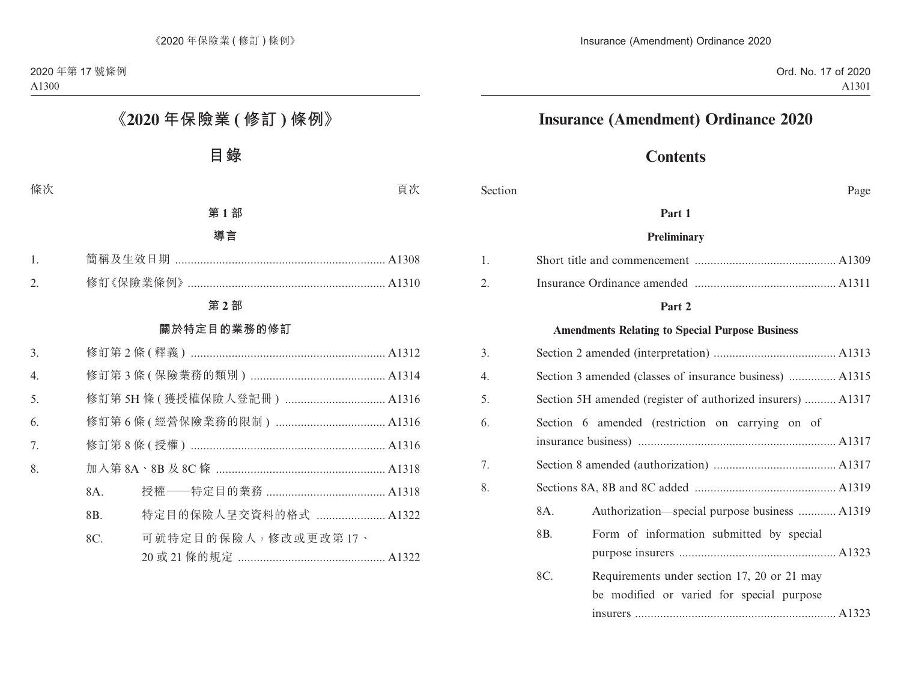# **Insurance (Amendment) Ordinance 2020**

## **Contents**

Section Page

#### **Part 1**

#### **Preliminary**

#### **Part 2**

#### **Amendments Relating to Special Purpose Business**

| 3. |                                                             |                                                                                          |  |  |
|----|-------------------------------------------------------------|------------------------------------------------------------------------------------------|--|--|
| 4. | Section 3 amended (classes of insurance business)  A1315    |                                                                                          |  |  |
| 5. | Section 5H amended (register of authorized insurers)  A1317 |                                                                                          |  |  |
| 6. |                                                             | Section 6 amended (restriction on carrying on of                                         |  |  |
|    |                                                             |                                                                                          |  |  |
| 7. |                                                             |                                                                                          |  |  |
| 8. |                                                             |                                                                                          |  |  |
|    | 8A.                                                         | Authorization—special purpose business  A1319                                            |  |  |
|    | 8B.                                                         | Form of information submitted by special                                                 |  |  |
|    | 8C.                                                         | Requirements under section 17, 20 or 21 may<br>be modified or varied for special purpose |  |  |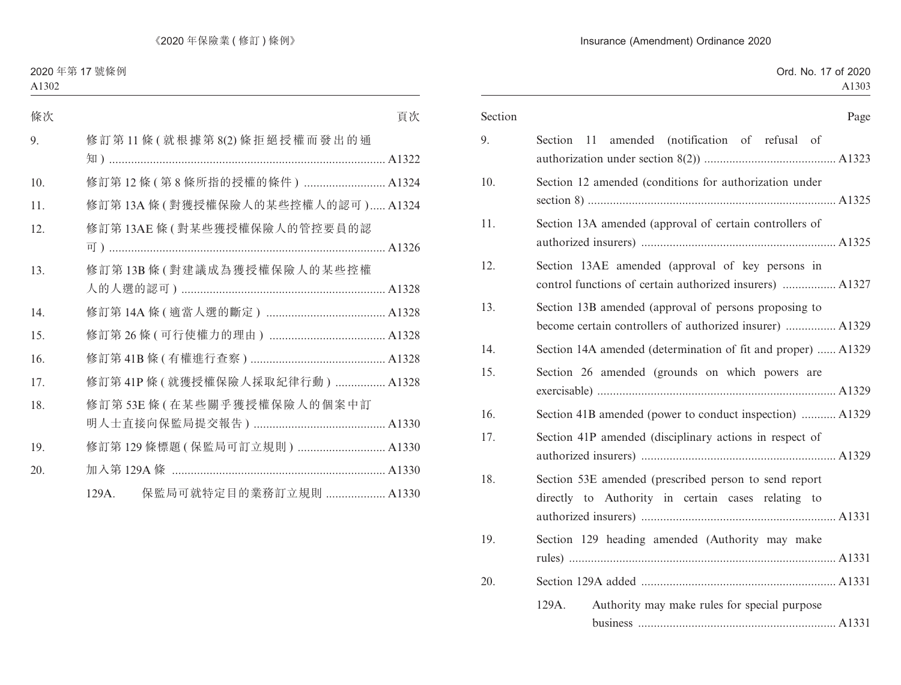|  |  |                                                                                                                   |  |  | Page |
|--|--|-------------------------------------------------------------------------------------------------------------------|--|--|------|
|  |  | Section 11 amended (notification of refusal of                                                                    |  |  |      |
|  |  | Section 12 amended (conditions for authorization under                                                            |  |  |      |
|  |  | Section 13A amended (approval of certain controllers of                                                           |  |  |      |
|  |  | Section 13AE amended (approval of key persons in<br>control functions of certain authorized insurers)  A1327      |  |  |      |
|  |  | Section 13B amended (approval of persons proposing to<br>become certain controllers of authorized insurer)  A1329 |  |  |      |
|  |  | Section 14A amended (determination of fit and proper)  A1329                                                      |  |  |      |
|  |  | Section 26 amended (grounds on which powers are                                                                   |  |  |      |
|  |  | Section 41B amended (power to conduct inspection)  A1329                                                          |  |  |      |
|  |  | Section 41P amended (disciplinary actions in respect of                                                           |  |  |      |
|  |  | Section 53E amended (prescribed person to send report<br>directly to Authority in certain cases relating to       |  |  |      |
|  |  | Section 129 heading amended (Authority may make                                                                   |  |  |      |
|  |  |                                                                                                                   |  |  |      |
|  |  | Authority may make rules for special purpose                                                                      |  |  |      |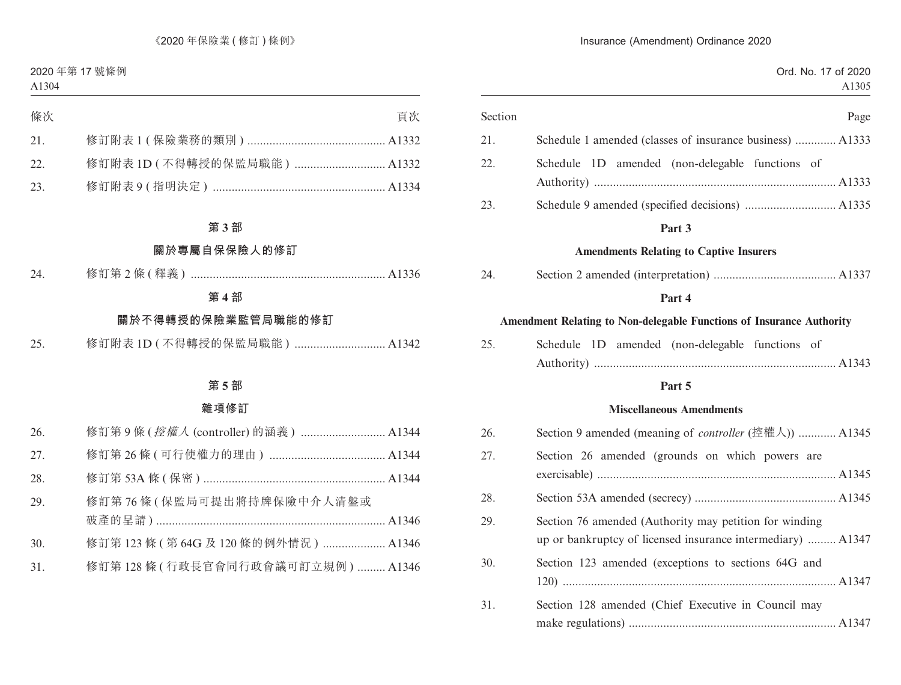| Page                                                                                                                  | Section |
|-----------------------------------------------------------------------------------------------------------------------|---------|
| Schedule 1 amended (classes of insurance business)  A1333                                                             | 21.     |
| Schedule 1D amended (non-delegable functions of                                                                       | 22.     |
|                                                                                                                       | 23.     |
| Part 3                                                                                                                |         |
| <b>Amendments Relating to Captive Insurers</b>                                                                        |         |
|                                                                                                                       | 24.     |
| Part 4                                                                                                                |         |
| Amendment Relating to Non-delegable Functions of Insurance Authority                                                  |         |
| Schedule 1D amended (non-delegable functions of                                                                       | 25.     |
| Part 5                                                                                                                |         |
| <b>Miscellaneous Amendments</b>                                                                                       |         |
| Section 9 amended (meaning of <i>controller</i> (控權人))  A1345                                                         | 26.     |
| Section 26 amended (grounds on which powers are                                                                       | 27.     |
|                                                                                                                       | 28.     |
| Section 76 amended (Authority may petition for winding<br>up or bankruptcy of licensed insurance intermediary)  A1347 | 29.     |
| Section 123 amended (exceptions to sections 64G and                                                                   | 30.     |
|                                                                                                                       |         |

31. Section 128 amended (Chief Executive in Council may make regulations) .................................................................. A1347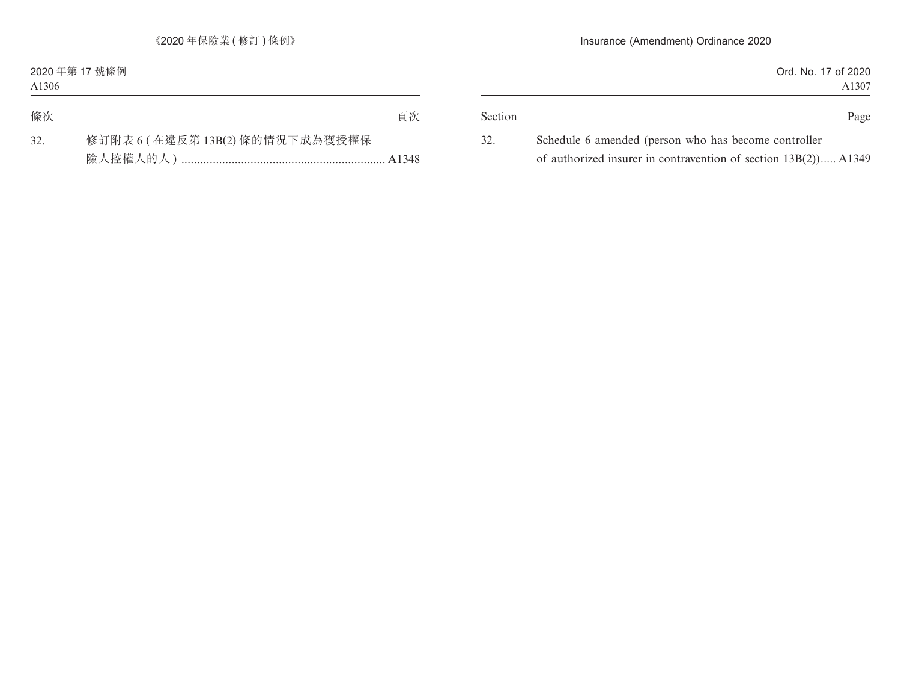| of 2020<br>. No. 17<br>Ord. |         |
|-----------------------------|---------|
| A1307                       |         |
|                             |         |
| Page                        | Section |

32. Schedule 6 amended (person who has become controller of authorized insurer in contravention of section 13B(2)) ..... A1349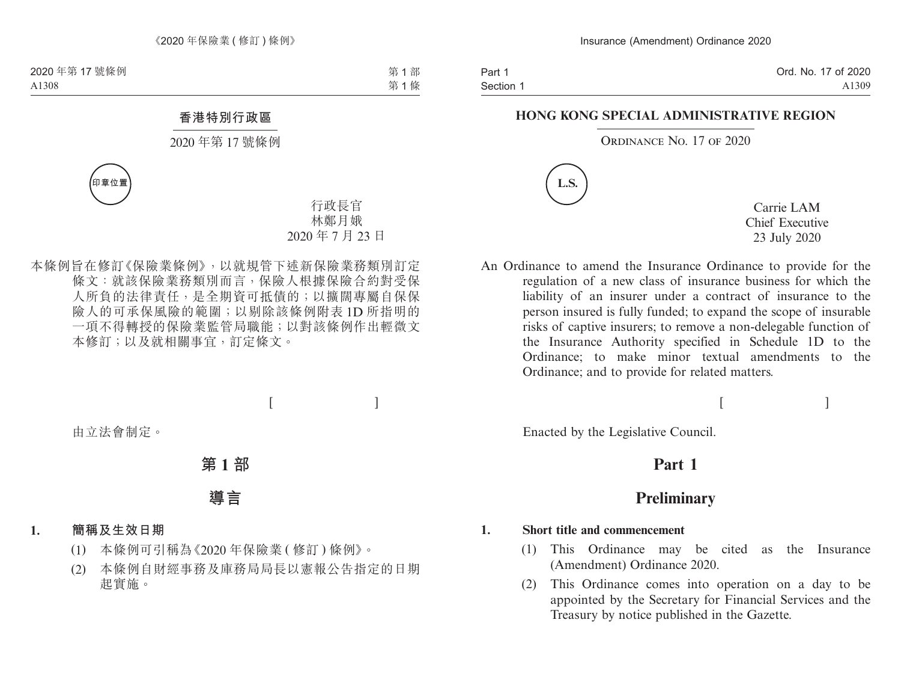Part 1 Section 1

#### **HONG KONG SPECIAL ADMINISTRATIVE REGION**

#### ORDINANCE NO. 17 OF 2020



Carrie LAM Chief Executive 23 July 2020

An Ordinance to amend the Insurance Ordinance to provide for the regulation of a new class of insurance business for which the liability of an insurer under a contract of insurance to the person insured is fully funded; to expand the scope of insurable risks of captive insurers; to remove a non-delegable function of the Insurance Authority specified in Schedule 1D to the Ordinance; to make minor textual amendments to the Ordinance; and to provide for related matters.

 $[$   $]$ 

Enacted by the Legislative Council.

## **Part 1**

## **Preliminary**

#### **1. Short title and commencement**

- (1) This Ordinance may be cited as the Insurance (Amendment) Ordinance 2020.
- (2) This Ordinance comes into operation on a day to be appointed by the Secretary for Financial Services and the Treasury by notice published in the Gazette.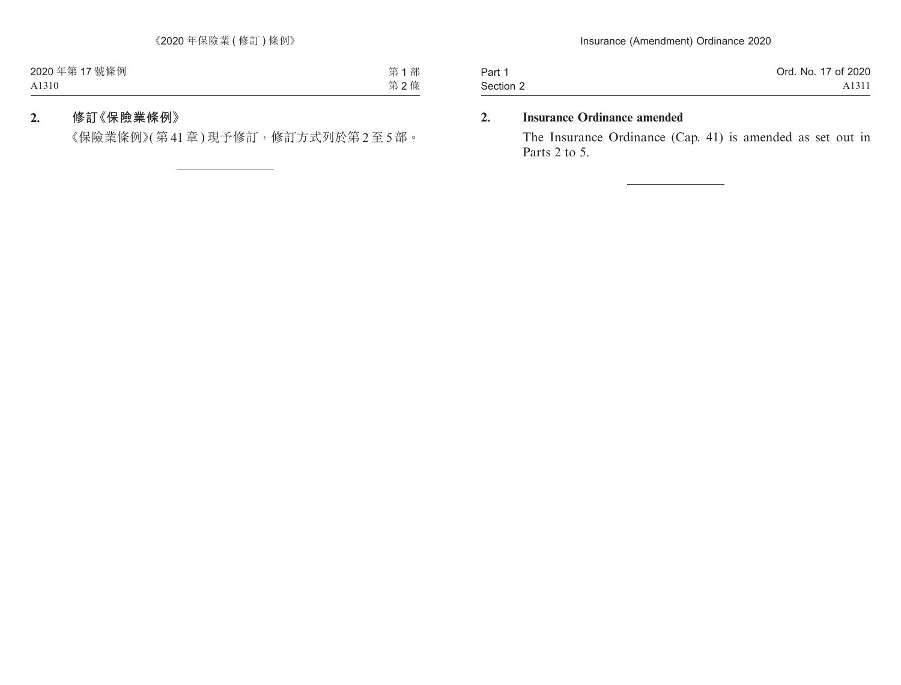| Part 1    | Ord. No. 17 of 2020 |
|-----------|---------------------|
| Section 2 | A <sub>1311</sub>   |

#### **2. Insurance Ordinance amended**

The Insurance Ordinance (Cap. 41) is amended as set out in Parts 2 to 5.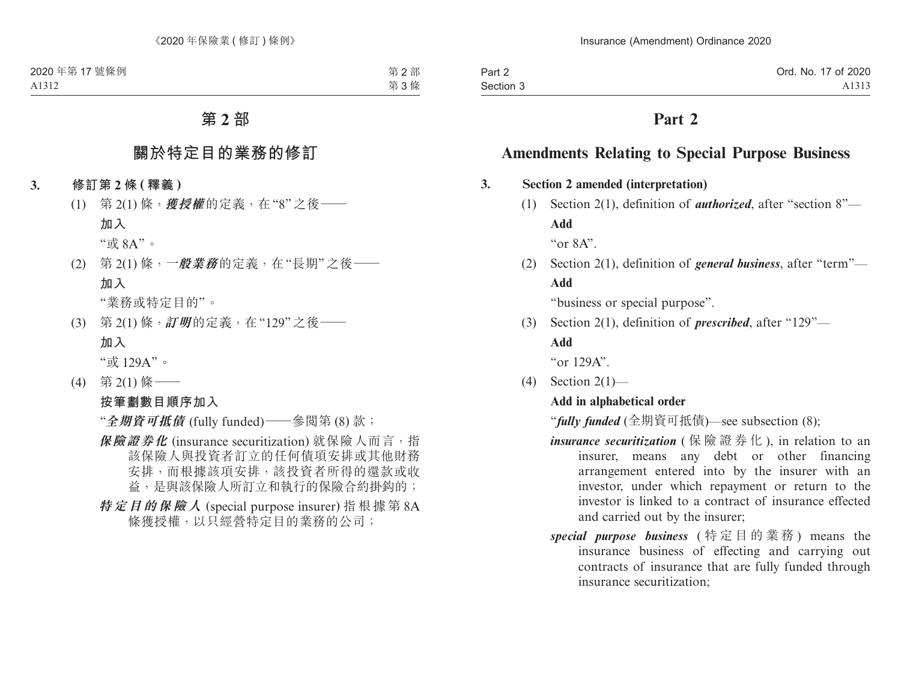## **Part 2**

## **Amendments Relating to Special Purpose Business**

#### **3. Section 2 amended (interpretation)**

(1) Section 2(1), definition of *authorized*, after "section 8"— **Add**

" $or 8A"$ 

(2) Section 2(1), definition of *general business*, after "term"— **Add**

"business or special purpose".

(3) Section 2(1), definition of *prescribed*, after "129"— **Add**

"or 129A".

 $(4)$  Section 2(1)—

### **Add in alphabetical order**

"*fully funded* (全期資可抵債)—see subsection (8);

- *insurance securitization* ( 保險證券化 ), in relation to an insurer, means any debt or other financing arrangement entered into by the insurer with an investor, under which repayment or return to the investor is linked to a contract of insurance effected and carried out by the insurer;
- *special purpose business* ( 特定目的業務 ) means the insurance business of effecting and carrying out contracts of insurance that are fully funded through insurance securitization;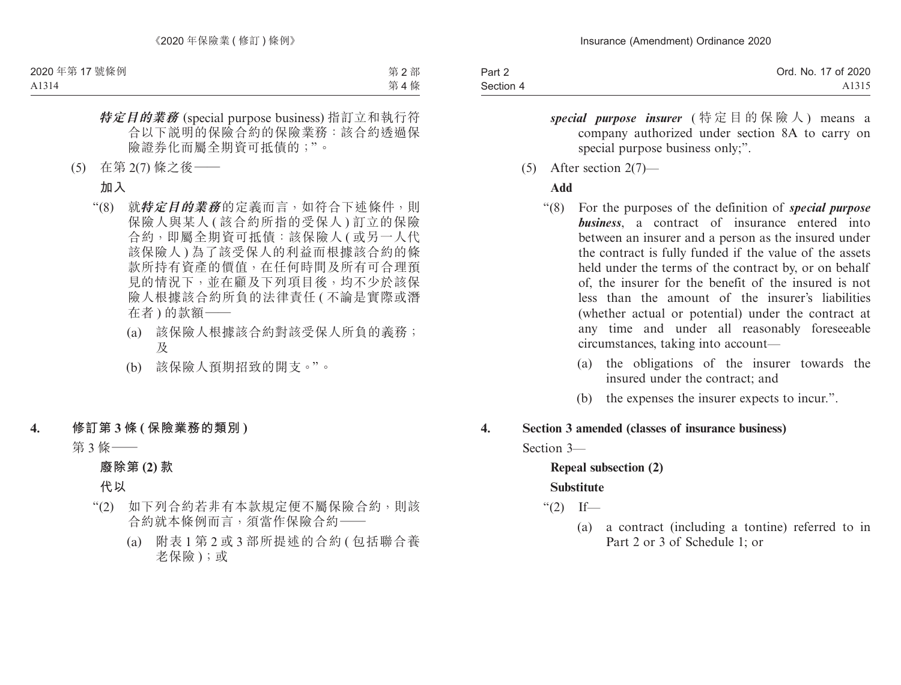| Part 2    | Ord. No. 17 of 2020 |
|-----------|---------------------|
| Section 4 | A <sub>1315</sub>   |

- *special purpose insurer* ( 特定目的保險人 ) means a company authorized under section 8A to carry on special purpose business only;".
- (5) After section 2(7)—

#### **Add**

- "(8) For the purposes of the definition of *special purpose business*, a contract of insurance entered into between an insurer and a person as the insured under the contract is fully funded if the value of the assets held under the terms of the contract by, or on behalf of, the insurer for the benefit of the insured is not less than the amount of the insurer's liabilities (whether actual or potential) under the contract at any time and under all reasonably foreseeable circumstances, taking into account—
	- (a) the obligations of the insurer towards the insured under the contract; and
	- (b) the expenses the insurer expects to incur.".

#### **4. Section 3 amended (classes of insurance business)**

Section 3—

#### **Repeal subsection (2)**

#### **Substitute**

" $(2)$  If—

(a) a contract (including a tontine) referred to in Part 2 or 3 of Schedule 1; or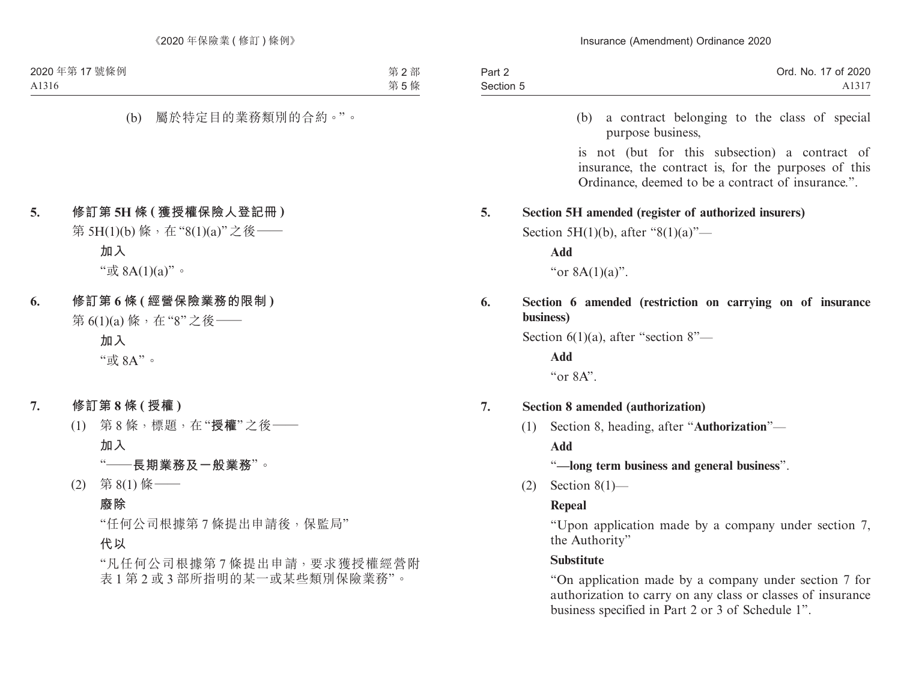| Part 2    | Ord. No. 17 of 2020 |
|-----------|---------------------|
| Section 5 | A131 <sup>-</sup>   |

(b) a contract belonging to the class of special purpose business,

is not (but for this subsection) a contract of insurance, the contract is, for the purposes of this Ordinance, deemed to be a contract of insurance.".

#### **5. Section 5H amended (register of authorized insurers)**

Section 5H(1)(b), after "8(1)(a)"—

**Add**

```
"or 8A(1)(a)".
```
### **6. Section 6 amended (restriction on carrying on of insurance business)**

Section 6(1)(a), after "section 8"—

**Add**

" $or 8A"$ 

#### **7. Section 8 amended (authorization)**

(1) Section 8, heading, after "**Authorization**"—

#### **Add**

#### "**—long term business and general business**".

(2) Section 8(1)—

#### **Repeal**

"Upon application made by a company under section 7, the Authority"

#### **Substitute**

"On application made by a company under section 7 for authorization to carry on any class or classes of insurance business specified in Part 2 or 3 of Schedule 1".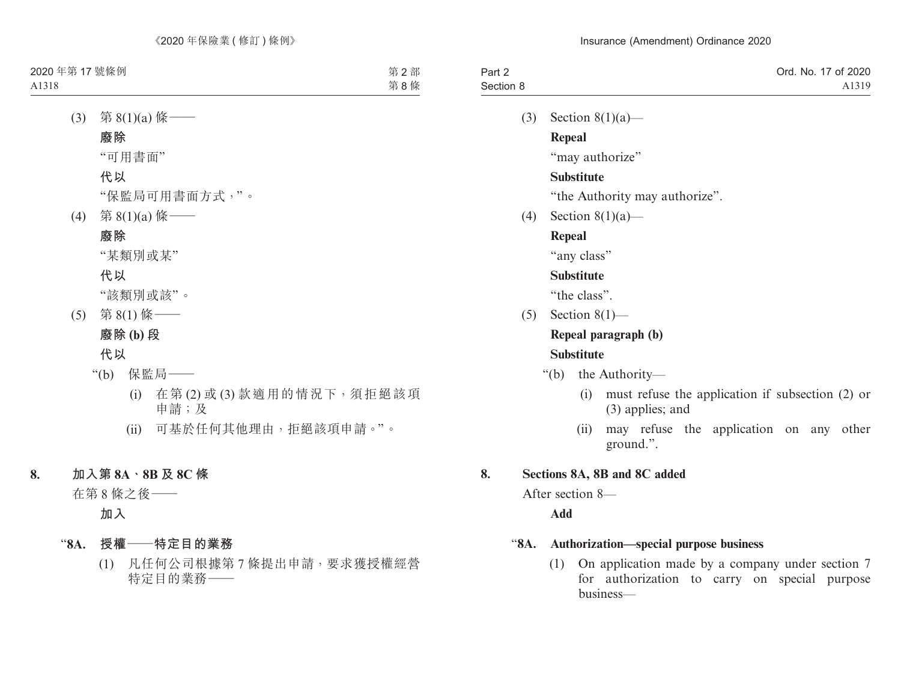| Part 2    | Ord. No. 17 of 2020 |
|-----------|---------------------|
| Section 8 | A1319               |

(3) Section 8(1)(a)—

**Repeal**

"may authorize"

#### **Substitute**

"the Authority may authorize".

(4) Section 8(1)(a)—

### **Repeal**

"any class"

### **Substitute**

"the class".

 $(5)$  Section 8(1)—

### **Repeal paragraph (b) Substitute**

- "(b) the Authority—
	- (i) must refuse the application if subsection (2) or (3) applies; and
	- (ii) may refuse the application on any other ground.".

### **8. Sections 8A, 8B and 8C added**

After section 8—

### **Add**

#### "**8A. Authorization—special purpose business**

(1) On application made by a company under section 7 for authorization to carry on special purpose business—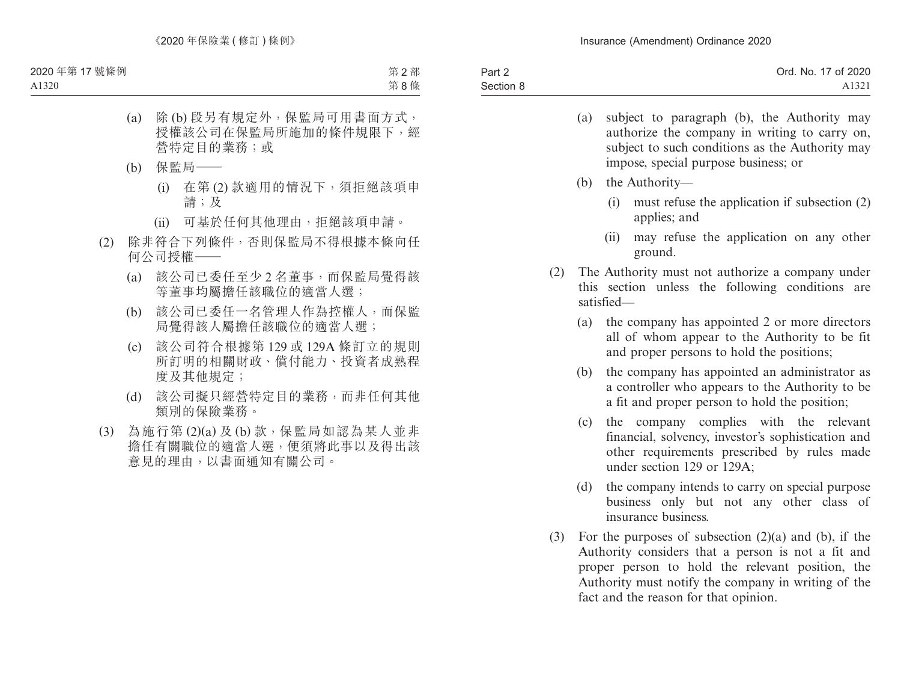| Part 2    | Ord. No. 17 of 2020 |
|-----------|---------------------|
| Section 8 | A1321               |

- (a) subject to paragraph (b), the Authority may authorize the company in writing to carry on, subject to such conditions as the Authority may impose, special purpose business; or
- (b) the Authority—
	- (i) must refuse the application if subsection (2) applies; and
	- (ii) may refuse the application on any other ground.
- (2) The Authority must not authorize a company under this section unless the following conditions are satisfied—
	- (a) the company has appointed 2 or more directors all of whom appear to the Authority to be fit and proper persons to hold the positions;
	- (b) the company has appointed an administrator as a controller who appears to the Authority to be a fit and proper person to hold the position;
	- (c) the company complies with the relevant financial, solvency, investor's sophistication and other requirements prescribed by rules made under section 129 or 129A;
	- (d) the company intends to carry on special purpose business only but not any other class of insurance business.
- (3) For the purposes of subsection (2)(a) and (b), if the Authority considers that a person is not a fit and proper person to hold the relevant position, the Authority must notify the company in writing of the fact and the reason for that opinion.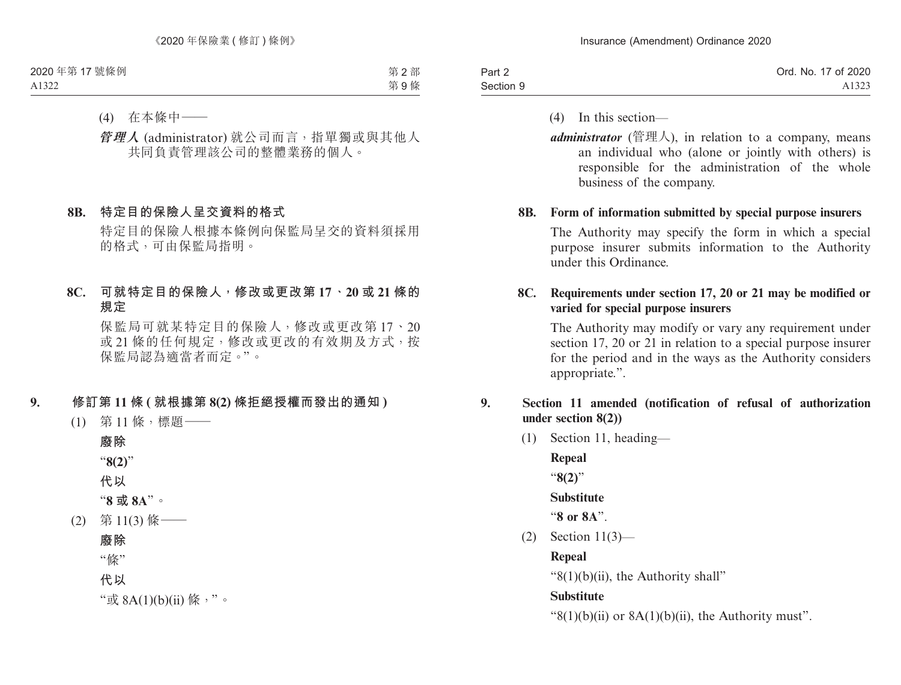| Part 2    | Ord. No. 17 of 2020 |
|-----------|---------------------|
| Section 9 | A1323               |

- (4) In this section—
- *administrator* (管理人), in relation to a company, means an individual who (alone or jointly with others) is responsible for the administration of the whole business of the company.

#### **8B. Form of information submitted by special purpose insurers**

The Authority may specify the form in which a special purpose insurer submits information to the Authority under this Ordinance.

#### **8C. Requirements under section 17, 20 or 21 may be modified or varied for special purpose insurers**

The Authority may modify or vary any requirement under section 17, 20 or 21 in relation to a special purpose insurer for the period and in the ways as the Authority considers appropriate.".

### **9. Section 11 amended (notification of refusal of authorization under section 8(2))**

(1) Section 11, heading—

**Repeal** "**8(2)**"

**Substitute**

"**8 or 8A**".

(2) Section 11(3)—

**Repeal**

" $8(1)(b)(ii)$ , the Authority shall"

#### **Substitute**

" $8(1)(b)(ii)$  or  $8A(1)(b)(ii)$ , the Authority must".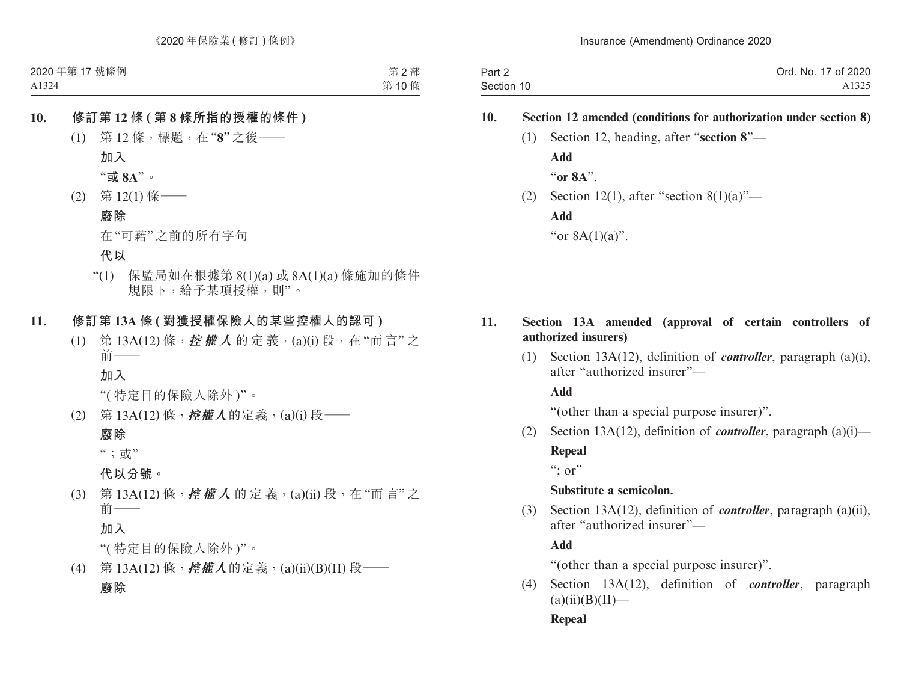| Part 2     | Ord. No. 17 of 2020 |
|------------|---------------------|
| Section 10 | A1325               |

### **10. Section 12 amended (conditions for authorization under section 8)**

- (1) Section 12, heading, after "**section 8**"— **Add** "**or 8A**".
- (2) Section 12(1), after "section  $8(1)(a)$ "-**Add** "or 8A(1)(a)".

### **11. Section 13A amended (approval of certain controllers of authorized insurers)**

(1) Section 13A(12), definition of *controller*, paragraph (a)(i), after "authorized insurer"—

#### **Add**

"(other than a special purpose insurer)".

(2) Section 13A(12), definition of *controller*, paragraph (a)(i)— **Repeal**

 $\lq\lq$  : or"

#### **Substitute a semicolon.**

(3) Section 13A(12), definition of *controller*, paragraph (a)(ii), after "authorized insurer"—

**Add**

"(other than a special purpose insurer)".

(4) Section 13A(12), definition of *controller*, paragraph  $(a)(ii)(B)(II)$ —

**Repeal**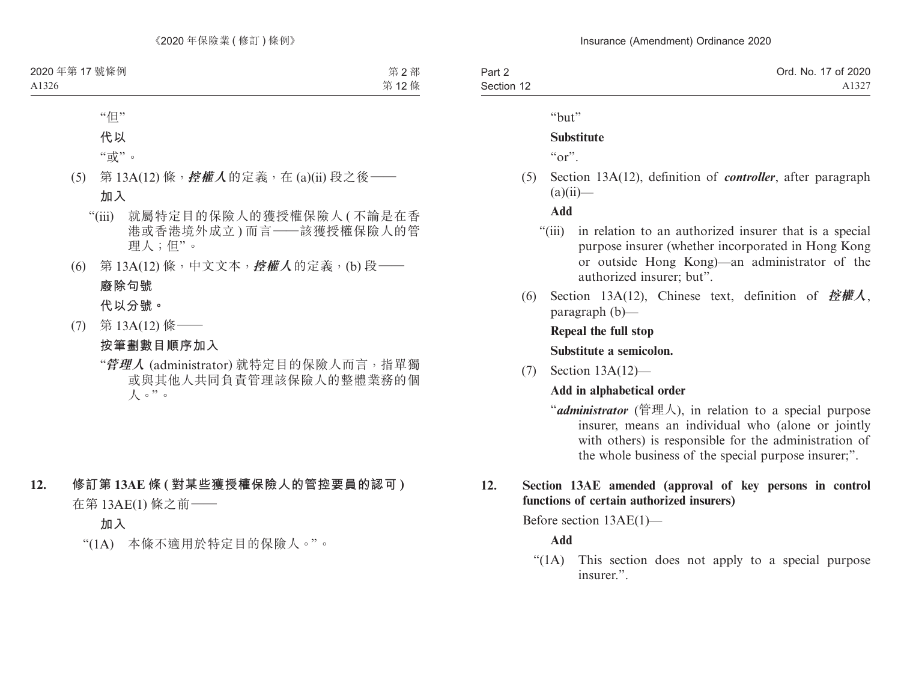| Part 2     | Ord. No. 17 of 2020 |
|------------|---------------------|
| Section 12 | A1327               |

"but"

#### **Substitute**

 $\mathfrak{c}_{\alpha r}$ 

- (5) Section 13A(12), definition of *controller*, after paragraph  $(a)(ii)$ —
	- **Add**
	- "(iii) in relation to an authorized insurer that is a special purpose insurer (whether incorporated in Hong Kong or outside Hong Kong)—an administrator of the authorized insurer; but".
- (6) Section 13A(12), Chinese text, definition of **控權人**, paragraph (b)—

**Repeal the full stop Substitute a semicolon.**

(7) Section 13A(12)—

#### **Add in alphabetical order**

"*administrator* (管理人), in relation to a special purpose insurer, means an individual who (alone or jointly with others) is responsible for the administration of the whole business of the special purpose insurer;".

### **12. Section 13AE amended (approval of key persons in control functions of certain authorized insurers)**

Before section 13AE(1)—

### **Add**

"(1A) This section does not apply to a special purpose insurer.".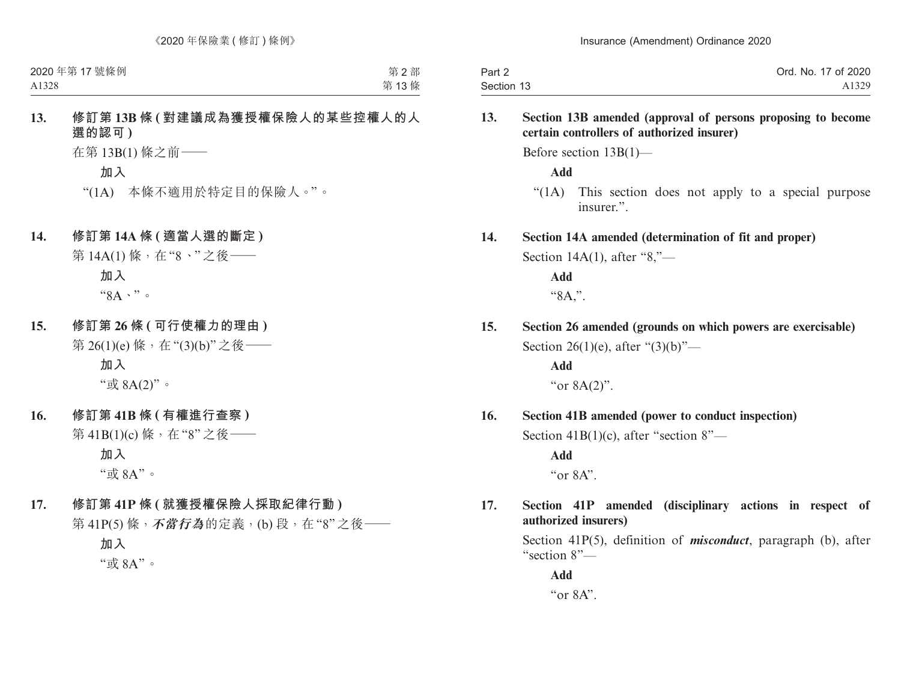| Part 2     | Ord. No. 17 of 2020 |
|------------|---------------------|
| Section 13 | A1329               |

#### **13. Section 13B amended (approval of persons proposing to become certain controllers of authorized insurer)**

Before section 13B(1)—

**Add**

"(1A) This section does not apply to a special purpose insurer.".

#### **14. Section 14A amended (determination of fit and proper)**

Section 14A(1), after "8,"—

**Add** "8A,".

**15. Section 26 amended (grounds on which powers are exercisable)** Section 26(1)(e), after " $(3)(b)$ "—

> **Add** "or 8A(2)".

### **16. Section 41B amended (power to conduct inspection)**

Section 41B(1)(c), after "section 8"—

**Add**

" $or 8A"$ 

### **17. Section 41P amended (disciplinary actions in respect of authorized insurers)**

Section 41P(5), definition of *misconduct*, paragraph (b), after "section 8"—

**Add** "or 8A".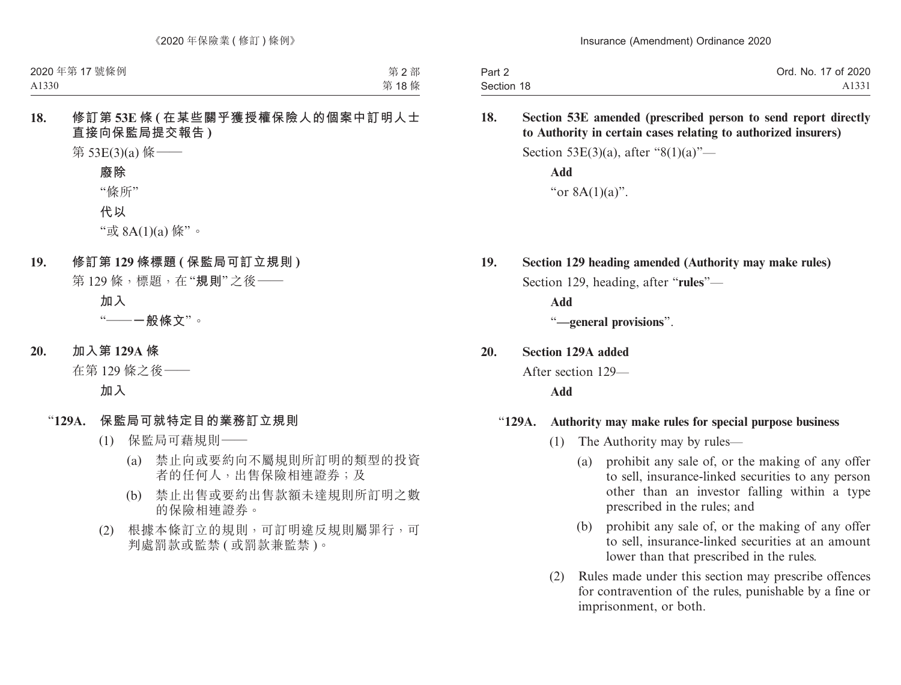| Part 2     | Ord. No. 17 of 2020 |
|------------|---------------------|
| Section 18 | A1331               |

**18. Section 53E amended (prescribed person to send report directly to Authority in certain cases relating to authorized insurers)**

Section 53E(3)(a), after "8(1)(a)"—

**Add** "or 8A(1)(a)".

**19. Section 129 heading amended (Authority may make rules)** Section 129, heading, after "**rules**"—

**Add**

"**—general provisions**".

**20. Section 129A added**

After section 129—

**Add**

#### "**129A. Authority may make rules for special purpose business**

- (1) The Authority may by rules—
	- (a) prohibit any sale of, or the making of any offer to sell, insurance-linked securities to any person other than an investor falling within a type prescribed in the rules; and
	- (b) prohibit any sale of, or the making of any offer to sell, insurance-linked securities at an amount lower than that prescribed in the rules.
- (2) Rules made under this section may prescribe offences for contravention of the rules, punishable by a fine or imprisonment, or both.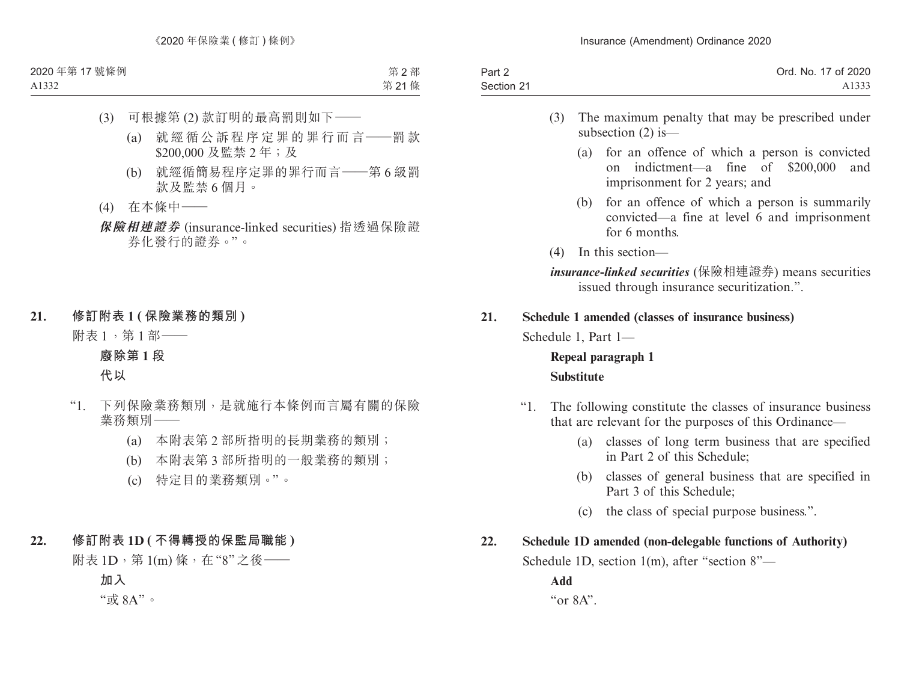| Part 2     | Ord. No. 17 of 2020 |
|------------|---------------------|
| Section 21 | A1333               |

- (3) The maximum penalty that may be prescribed under subsection (2) is—
	- (a) for an offence of which a person is convicted on indictment—a fine of \$200,000 and imprisonment for 2 years; and
	- (b) for an offence of which a person is summarily convicted—a fine at level 6 and imprisonment for 6 months.
- (4) In this section—

*insurance-linked securities* (保險相連證券) means securities issued through insurance securitization.".

### **21. Schedule 1 amended (classes of insurance business)**

Schedule 1, Part 1—

## **Repeal paragraph 1 Substitute**

- "1. The following constitute the classes of insurance business that are relevant for the purposes of this Ordinance—
	- (a) classes of long term business that are specified in Part 2 of this Schedule;
	- (b) classes of general business that are specified in Part 3 of this Schedule;
	- (c) the class of special purpose business.".

## **22. Schedule 1D amended (non-delegable functions of Authority)**

Schedule 1D, section 1(m), after "section 8"—

**Add**

 $\alpha$   $\alpha$   $\alpha$   $\beta$   $\Delta$ <sup>"</sup>.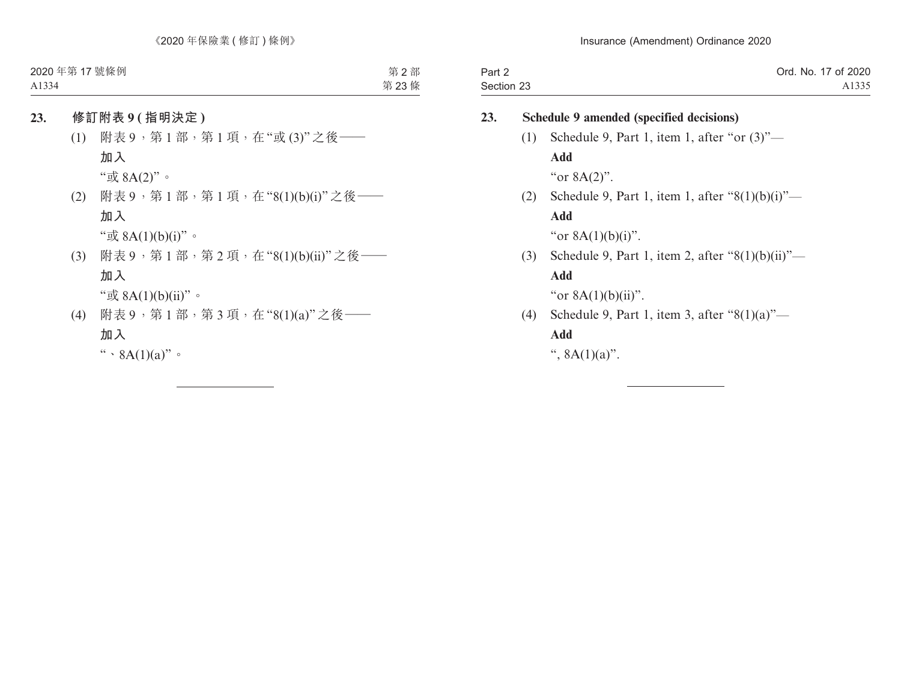| Part 2     | Ord. No. 17 of 2020 |
|------------|---------------------|
| Section 23 | A1335               |

| 23. | Schedule 9 amended (specified decisions) |                                                         |
|-----|------------------------------------------|---------------------------------------------------------|
|     | (1)                                      | Schedule 9, Part 1, item 1, after "or $(3)$ "-          |
|     |                                          | Add                                                     |
|     |                                          | "or $8A(2)$ ".                                          |
|     |                                          | (2) Schedule 9, Part 1, item 1, after " $8(1)(b)(i)$ "— |
|     |                                          | Add                                                     |
|     |                                          | "or $8A(1)(b)(i)$ ".                                    |
|     | (3)                                      | Schedule 9, Part 1, item 2, after " $8(1)(b)(ii)$ "—    |
|     |                                          | Add                                                     |
|     |                                          | "or $8A(1)(b)(ii)$ ".                                   |
|     | (4)                                      | Schedule 9, Part 1, item 3, after " $8(1)(a)$ "-        |
|     |                                          | Add                                                     |
|     |                                          | ", $8A(1)(a)$ ".                                        |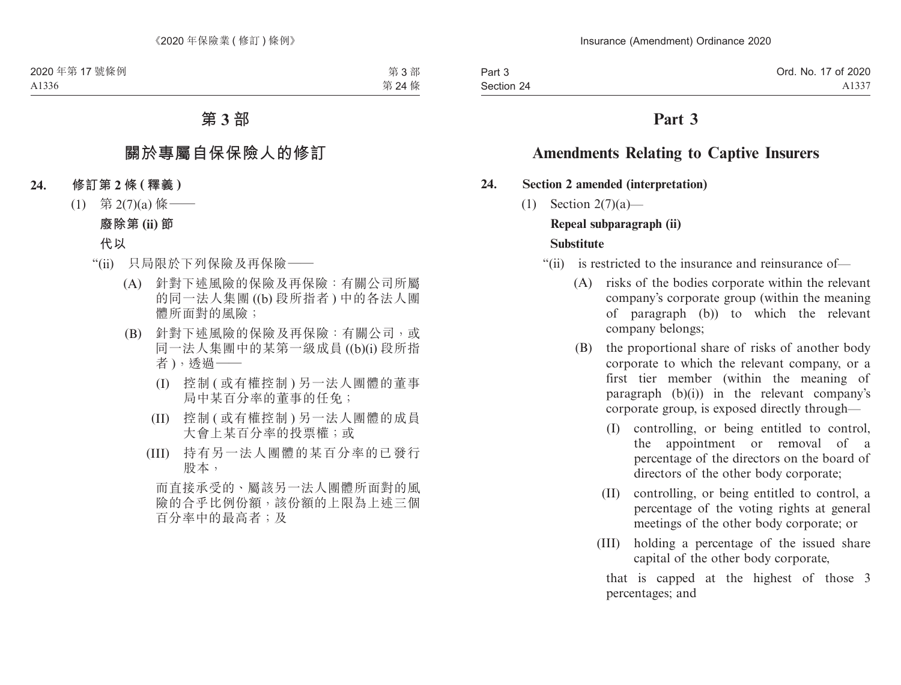## **Part 3**

## **Amendments Relating to Captive Insurers**

#### **24. Section 2 amended (interpretation)**

- (1) Section 2(7)(a)— **Repeal subparagraph (ii) Substitute**
	- "(ii) is restricted to the insurance and reinsurance of—
		- (A) risks of the bodies corporate within the relevant company's corporate group (within the meaning of paragraph (b)) to which the relevant company belongs;
		- (B) the proportional share of risks of another body corporate to which the relevant company, or a first tier member (within the meaning of paragraph  $(b)(i)$  in the relevant company's corporate group, is exposed directly through—
			- (I) controlling, or being entitled to control, the appointment or removal of a percentage of the directors on the board of directors of the other body corporate;
			- (II) controlling, or being entitled to control, a percentage of the voting rights at general meetings of the other body corporate; or
			- (III) holding a percentage of the issued share capital of the other body corporate,

that is capped at the highest of those 3 percentages; and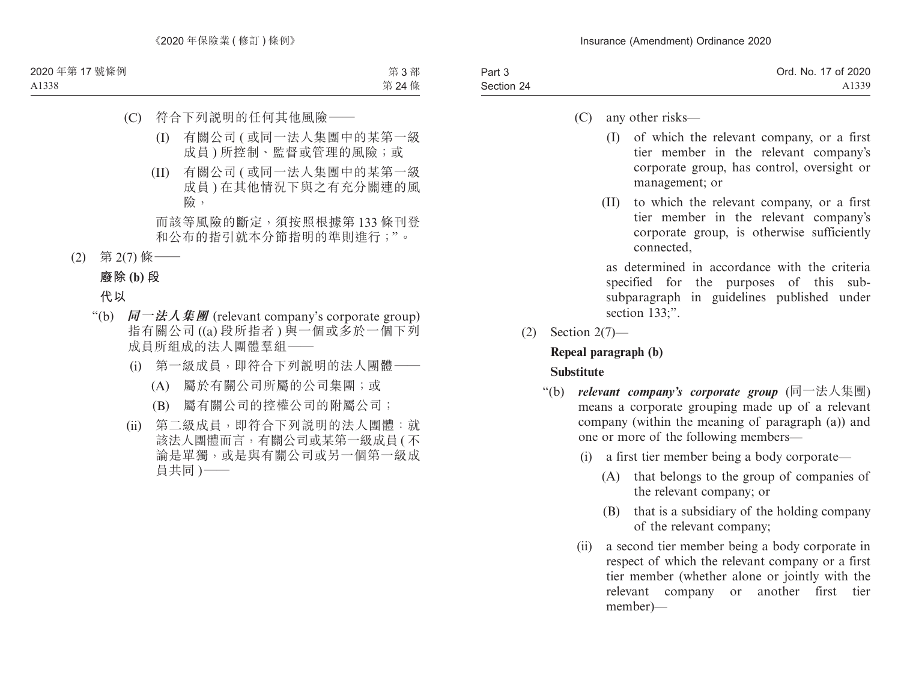| Part 3     | Ord. No. 17 of 2020 |
|------------|---------------------|
| Section 24 | A1339               |
|            |                     |

- (C) any other risks—
	- (I) of which the relevant company, or a first tier member in the relevant company's corporate group, has control, oversight or management; or
	- (II) to which the relevant company, or a first tier member in the relevant company's corporate group, is otherwise sufficiently connected,

as determined in accordance with the criteria specified for the purposes of this subsubparagraph in guidelines published under section 133:".

(2) Section 2(7)—

### **Repeal paragraph (b) Substitute**

- "(b) *relevant company's corporate group* (同一法人集團) means a corporate grouping made up of a relevant company (within the meaning of paragraph (a)) and one or more of the following members—
	- (i) a first tier member being a body corporate—
		- (A) that belongs to the group of companies of the relevant company; or
		- (B) that is a subsidiary of the holding company of the relevant company;
	- (ii) a second tier member being a body corporate in respect of which the relevant company or a first tier member (whether alone or jointly with the relevant company or another first tier member)—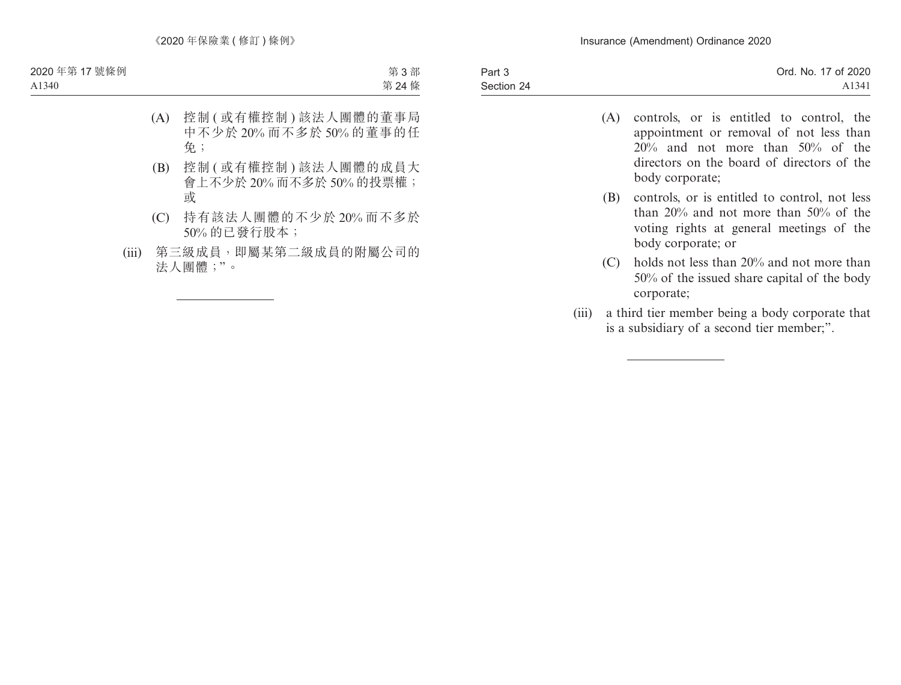| Part 3     | Ord. No. 17 of 2020 |
|------------|---------------------|
| Section 24 | A1341               |
|            |                     |

- (A) controls, or is entitled to control, the appointment or removal of not less than 20% and not more than 50% of the directors on the board of directors of the body corporate;
- (B) controls, or is entitled to control, not less than 20% and not more than 50% of the voting rights at general meetings of the body corporate; or
- (C) holds not less than 20% and not more than 50% of the issued share capital of the body corporate;
- (iii) a third tier member being a body corporate that is a subsidiary of a second tier member;".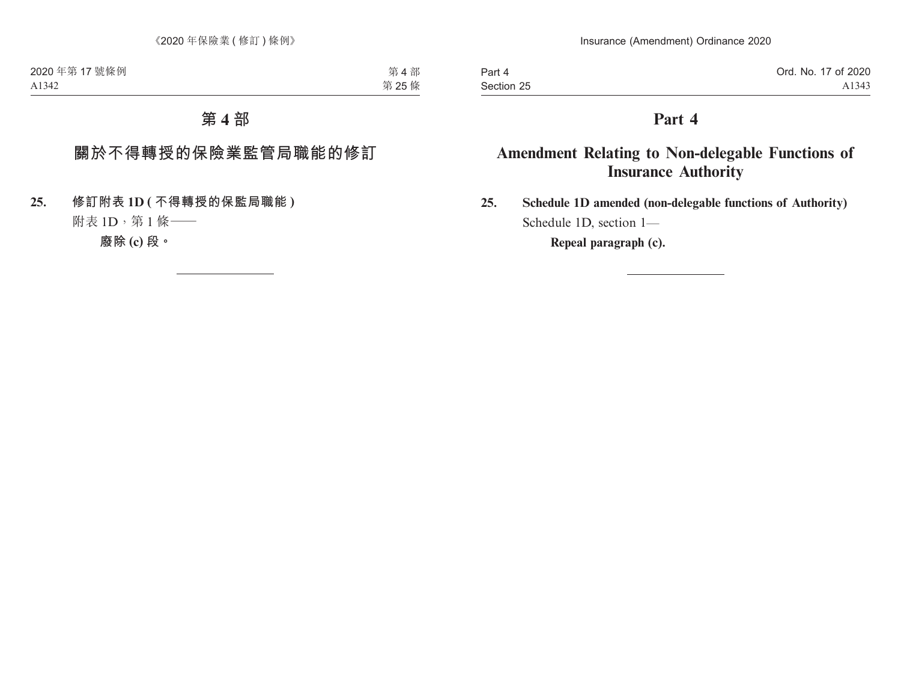Part 4 Section 25

## **Part 4**

# **Amendment Relating to Non-delegable Functions of Insurance Authority**

**25. Schedule 1D amended (non-delegable functions of Authority)** Schedule 1D, section 1—

**Repeal paragraph (c).**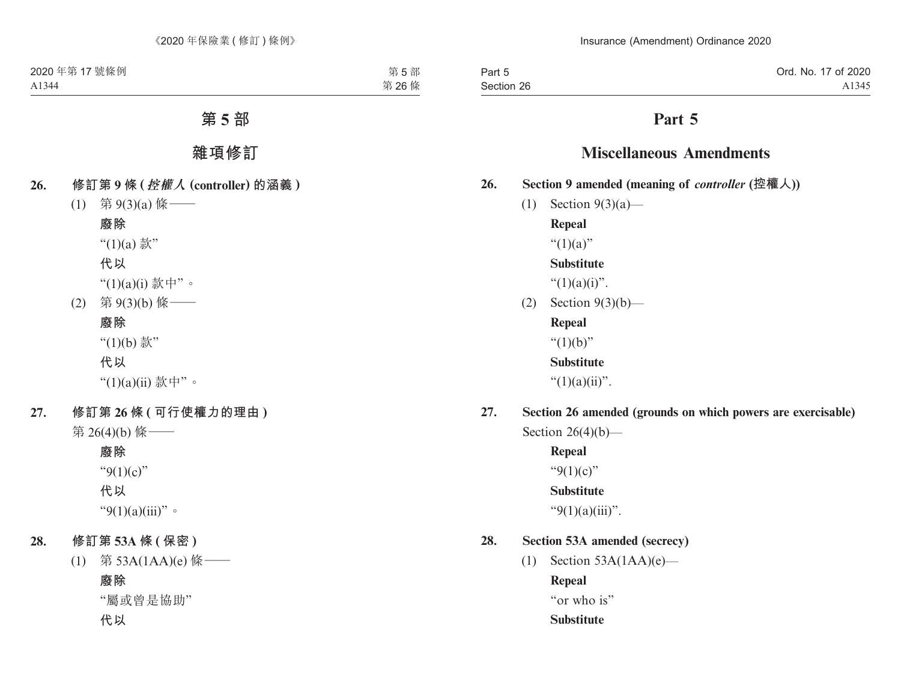Part 5 Section 26

# **Part 5**

## **Miscellaneous Amendments**

- **26. Section 9 amended (meaning of** *controller* **(控權人))**
	- (1) Section 9(3)(a)—

**Repeal**

" $(1)(a)$ "

### **Substitute**

" $(1)(a)(i)$ ".

(2) Section 9(3)(b)—

**Repeal**

" $(1)(b)$ "

**Substitute**

" $(1)(a)(ii)$ ".

**27. Section 26 amended (grounds on which powers are exercisable)** Section  $26(4)(b)$ —

> **Repeal** " $9(1)(c)$ "

### **Substitute**

" $9(1)(a)(iii)$ ".

## **28. Section 53A amended (secrecy)**

(1) Section  $53A(1AA)(e)$ —

**Repeal**

"or who is"

**Substitute**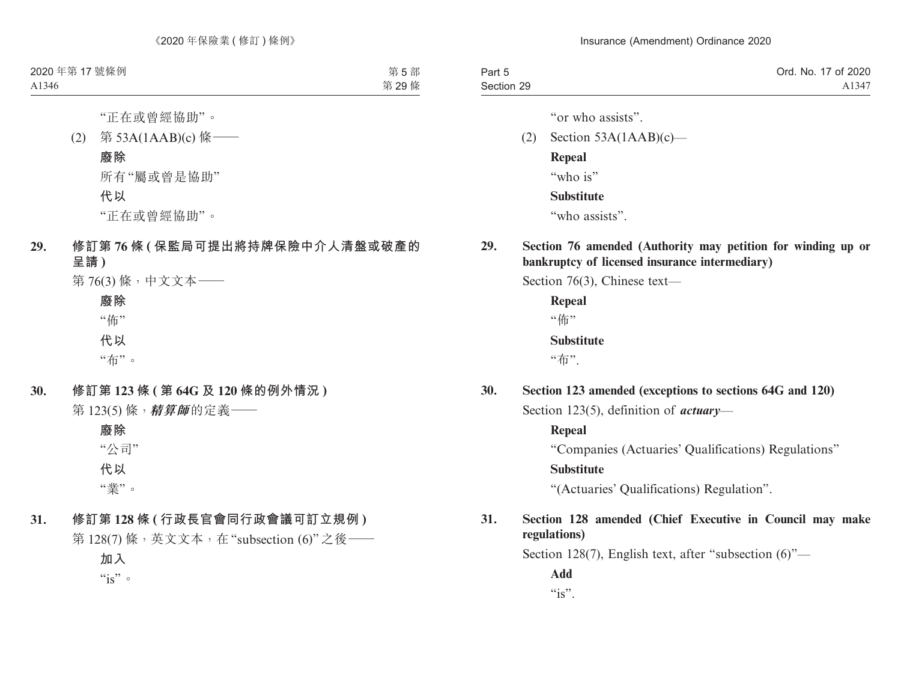| Part 5     | Ord. No. 17 of 2020 |
|------------|---------------------|
| Section 29 | A1347               |

"or who assists".

- (2) Section  $53A(1AAB)(c)$  **Repeal** "who is" **Substitute** "who assists".
- **29. Section 76 amended (Authority may petition for winding up or bankruptcy of licensed insurance intermediary)**

Section 76(3), Chinese text—

**Repeal** "佈" **Substitute** "布".

**30. Section 123 amended (exceptions to sections 64G and 120)** Section 123(5), definition of *actuary*—

> **Repeal** "Companies (Actuaries' Qualifications) Regulations" **Substitute** "(Actuaries' Qualifications) Regulation".

### **31. Section 128 amended (Chief Executive in Council may make regulations)**

Section 128(7), English text, after "subsection (6)"—

**Add**  $``is"$ .